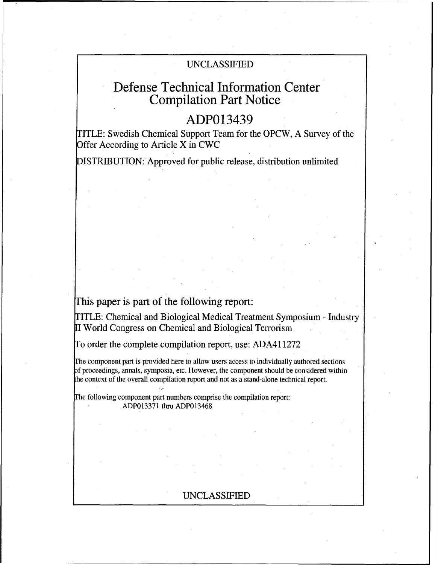## UNCLASSIFIED

# Defense Technical Information Center Compilation Part Notice

# ADP013439

TITLE: Swedish Chemical Support Team for the OPCW, A Survey of the Offer According to Article X in CWC

DISTRIBUTION: Approved for public release, distribution unlimited

## This paper is part of the following report:

TITLE: Chemical and Biological Medical Treatment Symposium - Industry **1I** World Congress on Chemical and Biological Terrorism

To order the complete compilation report, use: ADA411272

The component part is provided here to allow users access to individually authored sections f proceedings, annals, symposia, etc. However, the component should be considered within the context of the overall compilation report and not as a stand-alone technical report.

The following component part numbers comprise the compilation report: ADP013371 thru ADP013468

## UNCLASSIFIED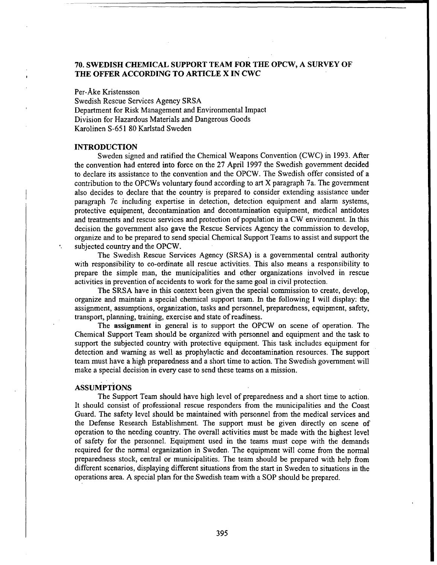### **70. SWEDISH CHEMICAL** SUPPORT **TEAM** FOR THE OPCW, **A** SURVEY OF THE OFFER **ACCORDING** TO ARTICLE X **IN** CWC

#### Per-Ake Kristensson

Swedish Rescue Services Agency SRSA Department for Risk Management and Environmental Impact Division for Hazardous Materials and Dangerous Goods Karolinen S-651 80 Karlstad Sweden

#### **INTRODUCTION**

Sweden signed and ratified the Chemical Weapons Convention (CWC) in 1993. After the convention had entered into force on the 27 April 1997 the Swedish government decided to declare its assistance to the convention and the OPCW. The Swedish offer consisted of a contribution to the OPCWs voluntary found according to art X paragraph 7a. The government also decides to declare that the country is prepared to consider extending assistance under paragraph 7c including expertise in detection, detection equipment and alarm systems, protective equipment, decontamination and decontamination equipment, medical antidotes and treatments and rescue services and protection of population in a CW environment. In this decision the government also gave the Rescue Services Agency the commission to develop, organize and to be prepared to send special Chemical Support Teams to assist and support the subjected country and the OPCW.

The Swedish Rescue Services Agency (SRSA) is a governmental central authority with responsibility to co-ordinate all rescue activities. This also means a responsibility to prepare the simple man, the municipalities and other organizations involved in rescue activities in prevention of accidents to work for the same goal in civil protection.

The SRSA have in this context been given the special commission to create, develop, organize and maintain a special chemical support team. In the following I will display: the assignment, assumptions, organization, tasks and personnel, preparedness, equipment, safety, transport, planning, training, exercise and state of readiness.

The assignment in general is to support the OPCW on scene of operation. The Chemical Support Team should be organized with personnel and equipment and the task to support the subjected country with protective equipment. This task includes equipment for detection and warning as well as prophylactic and decontamination resources. The support team must have a high preparedness and a short time to action. The Swedish government will make a special decision in every case to send these teams on a mission.

#### **ASSUMPTIONS**

The Support Team should have high level of preparedness and a short time to action. It should consist of professional rescue responders from the municipalities and the Coast Guard. The safety level should be maintained with personnel from the medical services and the Defense Research Establishment. The support must be given directly on scene of operation to the needing country. The overall activities must be made with the highest level of safety for the personnel. Equipment used in the teams must cope with the demands required for the normal organization in Sweden. The equipment will come from the normal preparedness stock, central or municipalities. The team should be prepared with help from different scenarios, displaying different situations from the start in Sweden to situations in the operations area. A special plan for the Swedish team with a SOP should be prepared.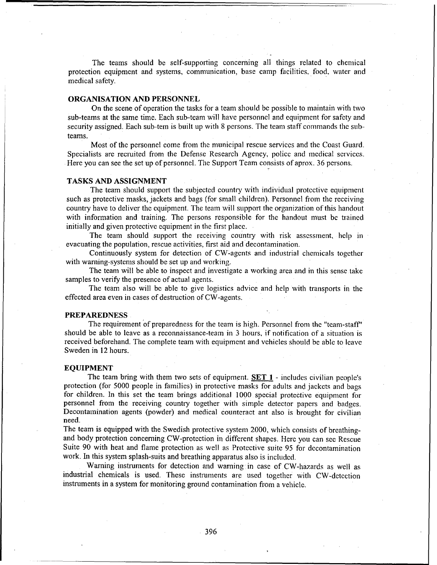The teams should be self-supporting concerning all things related to chemical protection equipment and systems, communication, base camp facilities, food, water and medical safety.

#### ORGANISATION AND PERSONNEL

On the scene of operation the tasks for a team should **be** possible to maintain with two sub-teams at the same time. Each sub-team will have personnel and equipment for safety and security assigned. Each sub-tern is built up with 8 persons. The team staff commands the subteams.

Most of the personnel come from the municipal rescue services and the Coast Guard. Specialists are recruited from the Defense Research Agency, policc and medical services. Here you can see the set up of personnel. The Support Team consists of aprox. 36 persons.

#### TASKS AND ASSIGNMENT

The team should support the subjected country with individual protective equipment such as protective masks, jackets and bags (for small children). Personnel from the receiving country have to deliver the equipment. The team will support the organization of this handout with information and training. The persons responsible for the handout must be trained initially and given protective equipment in the first place.

The team should support the receiving country with risk assessment, help in evacuating the population, rescue activities, first aid and decontamination.

Continuously system for detection of CW-agents and industrial chemicals together with warning-systems should be set up and working.

The team will be able to inspect and investigate a working area and in this sense take samples to verify the presence of actual agents.

The team also will be able to give logistics advice and help with transports in the effected area even in cases of destruction of CW-agents.

#### PREPAREDNESS

The requirement of preparedness for the team is high. Personnel from the "team-staff" should be able to leave as a reconnaissance-team in 3 hours, if notification of a situation is received beforehand. The complete team with equipment and vehicles should be able to leave Sweden in 12 hours.

#### **EQUIPMENT**

The team bring with them two sets of equipment. **SET 1** - includes civilian people's protection (for 5000 people in families) in protective masks for adults and jackets and bags for children. In this set the team brings additional 1000 special protective equipment for personnel from the receiving country together with simple detector papers and badges. Decontamination agents (powder) and medical counteract ant also is brought for civilian need.

The team is equipped with the Swedish protective system 2000, which consists of breathingand body protection concerning CW-protection in different shapes. Here you can see Rescue Suite 90 with heat and flame protection as well as Protective suite 95 for decontamination work. **In** this system splash-suits and breathing apparatus also is included.

Warning instruments for detection and warning in case of CW-hazards as well as industrial chemicals is used. These instruments are used together with CW-dctcction instruments in a system for monitoring ground contamination from a vehicle.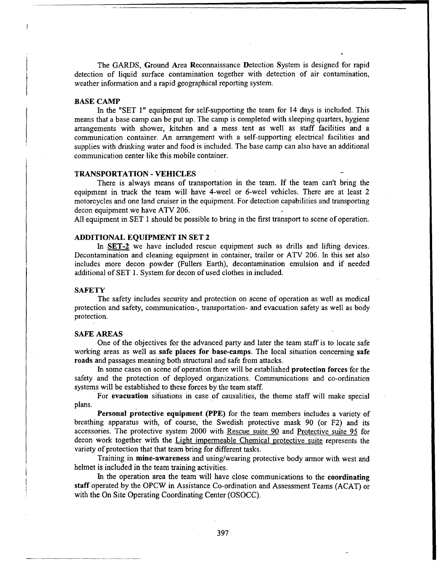The GARDS, Ground Area Reconnaissance Detection System is designed for rapid detection of liquid surface contamination together with detection of air contamination, weather information and a rapid geographical reporting system.

#### **BASE** CAMP

In the "SET 1" equipment for self-supporting the team for 14 days is included. This means that a base camp can be put up. The camp is completed with sleeping quarters, hygiene arrangements with shower, kitchen and a mess tent as well as staff facilities and a communication container. An arrangement with a self-supporting electrical facilities and supplies with drinking water and food is included. The base camp can also have an additional communication center like this mobile container.

#### TRANSPORTATION - **VEHICLES**

There is always means of transportation in the team. If the team can't bring the equipment in truck the team will have 4-weel or 6-weel vehicles. There are at least 2 motorcycles and one land cruiser in the equipment. For detection capabilities and transporting decon equipment we have ATV 206.

All equipment in SET 1 should be possible to bring in the first transport to scene of operation.

#### **ADDITIONAL EQUIPMENT IN SET** 2

In SET-2 we have included rescue equipment such as drills and lifting devices. Decontamination and cleaning equipment in container, trailer or ATV 206. In this set also includes more decon powder (Fullers Earth), decontamination emulsion and if needed additional of SET 1. System for decon of used clothes in included.

#### **SAFETY**

The safety includes security and protection on scene of operation as well as medical protection and safety, communication-, transportation- and evacuation safety as well as body protection.

#### SAFE AREAS

One of the objectives for the advanced party and later the team staff is to locate safe working areas as well as safe places for base-camps. The local situation concerning safe roads and passages meaning both structural and safe from attacks.

In some cases on scene of operation there will be established protection forces for the safety and the protection of deployed organizations. Communications and co-ordination systems will be established to these forces by the team staff.

For evacuation situations in case of causalities, the theme staff will make special plans.

Personal protective equipment (PPE) for the team members includes a variety of breathing apparatus with, of course, the Swedish protective mask 90 (or F2) and its accessories. The protective system 2000 with Rescue suite 90 and Protective suite 95 for decon work together with the Light impermeable Chemical protective suite represents the variety of protection that that team bring for different tasks.

Training in mine-awareness and using/wearing protective body armor with west and helmet is included in the team training activities.

In the operation area the team will have close communications to the coordinating staff operated by the OPCW in Assistance Co-ordination and Assessment Teams (ACAT) or with the On Site Operating Coordinating Center (OSOCC).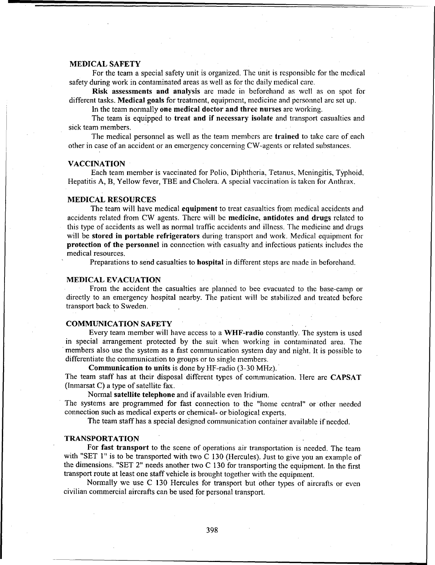#### MEDICAL SAFETY

For the team a special safety unit is organized. The unit is responsible for the medical safety during work in contaminated areas as well as for the daily medical care.

Risk assessments and analysis are made in beforehand as well as on spot for different tasks. Medical goals for treatment, equipment, medicine and personnel arc set up.

In the team normally one medical doctor and three nurses are working.

The team is equipped to treat and if necessary isolate and transport casualties and sick team members.

The medical personnel as well as the team members are trained to take care of each other in case of an accident or an emergency concerning CW-agents or related substances.

#### VACCINATION

Each team member is vaccinated for Polio, Diphtheria, Tetanus, Meningitis, Typhoid, Hepatitis A, B, Yellow fever, TBE and Cholera. A special vaccination is taken for Anthrax.

#### MEDICAL RESOURCES

The team will have medical **equipment** to treat casualties from medical accidents and accidents related from CW agents. There will be medicine, antidotes and drugs related to this type of accidents as well as normal traffic accidents and illness. The medicine and drugs will be stored in portable refrigerators during transport and work. Medical equipment for protection of the personnel in connection with casualty and infectious patients includes the medical resources.

Preparations to send casualties to hospital in different steps are made in beforehand.

#### MEDICAL EVACUATION

From the accident the casualties are planned to bee evacuated to the base-camp or directly to an emergency hospital nearby. The patient will be stabilized and treated before transport back to Sweden.

#### COMMUNICATION SAFETY

Every team member will have access to a WHF-radio constantly. The system is used in special arrangement protected by the suit when working in contaminated area. The members also use the system as a fast communication system day and night. It is possible to differentiate the communication to groups or to single members.

Communication to units is done by HF-radio (3-30 MHz).' The team staff has at their disposal different types of communication. Here are CAPSAT (Inmarsat C) a type of satellite fax.

Normal satellite telephone and if available even Iridium.

The systems are programmed for fast connection to the "home central" or other needed connection such as medical experts or chemical- or biological experts.

The team staff has a special designed communication container available if needed.

#### TRANSPORTATION

For fast transport to the scene of operations air transportation is needed. The team with "SET 1" is to be transported with two C 130 (Hercules). Just to give you an example of the dimensions. "SET 2" needs another two C 130 for transporting the equipment. In the first transport route at least one staff vehicle is brought together with the equipment.

Normally we use C 130 Hercules for transport but other types of aircrafts or even civilian commercial aircrafts can be used for personal transport.